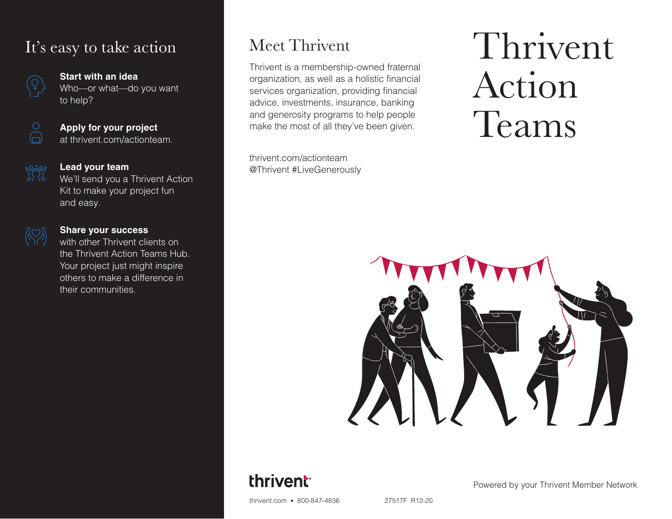## It's easy to take action



#### **Start with an idea**

Who—or what—do you want to help?



#### **Apply for your project** at thrivent.com/actionteam.



#### **Lead your team**

We'll send you a Thrivent Action Kit to make your project fun and easy.



#### **Share your success**

with other Thrivent clients on the Thrivent Action Teams Hub. Your project just might inspire others to make a difference in their communities.

## Meet Thrivent

Thrivent is a membership-owned fraternal organization, as well as a holistic financial services organization, providing financial advice, investments, insurance, banking and generosity programs to help people make the most of all they've been given.

thrivent.com/actionteam @Thrivent #LiveGenerously

# Thrivent Action Teams



## thrivent

Powered by your Thrivent Member Network

thrivent.com • 800-847-4836 27517F R12-20